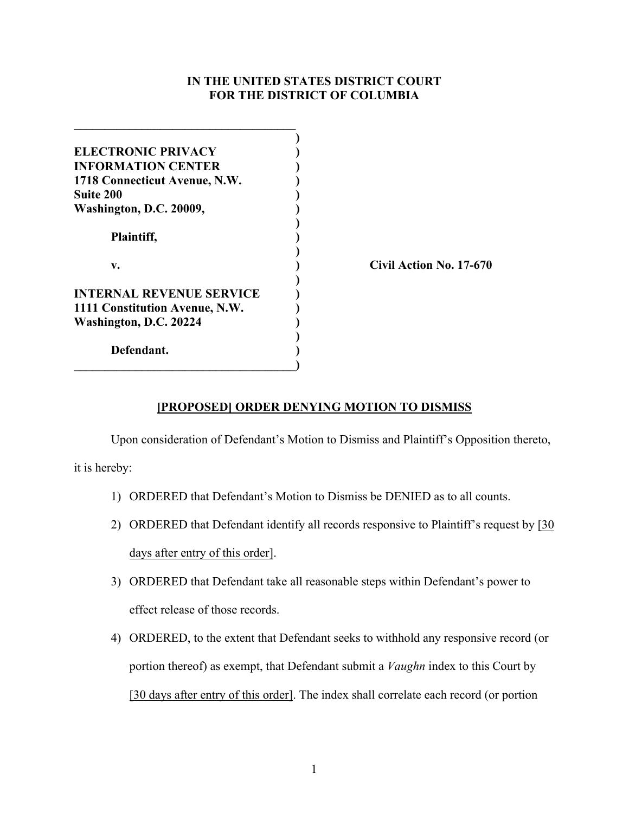## **IN THE UNITED STATES DISTRICT COURT FOR THE DISTRICT OF COLUMBIA**

| <b>ELECTRONIC PRIVACY</b>       |                         |
|---------------------------------|-------------------------|
| <b>INFORMATION CENTER</b>       |                         |
| 1718 Connecticut Avenue, N.W.   |                         |
| <b>Suite 200</b>                |                         |
| Washington, D.C. 20009,         |                         |
|                                 |                         |
| Plaintiff,                      |                         |
|                                 |                         |
| v.                              | Civil Action No. 17-670 |
|                                 |                         |
| <b>INTERNAL REVENUE SERVICE</b> |                         |
| 1111 Constitution Avenue, N.W.  |                         |
| Washington, D.C. 20224          |                         |
|                                 |                         |
| Defendant.                      |                         |
|                                 |                         |

## **[PROPOSED] ORDER DENYING MOTION TO DISMISS**

Upon consideration of Defendant's Motion to Dismiss and Plaintiff's Opposition thereto,

it is hereby:

- 1) ORDERED that Defendant's Motion to Dismiss be DENIED as to all counts.
- 2) ORDERED that Defendant identify all records responsive to Plaintiff's request by [30 days after entry of this order].
- 3) ORDERED that Defendant take all reasonable steps within Defendant's power to effect release of those records.
- 4) ORDERED, to the extent that Defendant seeks to withhold any responsive record (or portion thereof) as exempt, that Defendant submit a *Vaughn* index to this Court by [30 days after entry of this order]. The index shall correlate each record (or portion